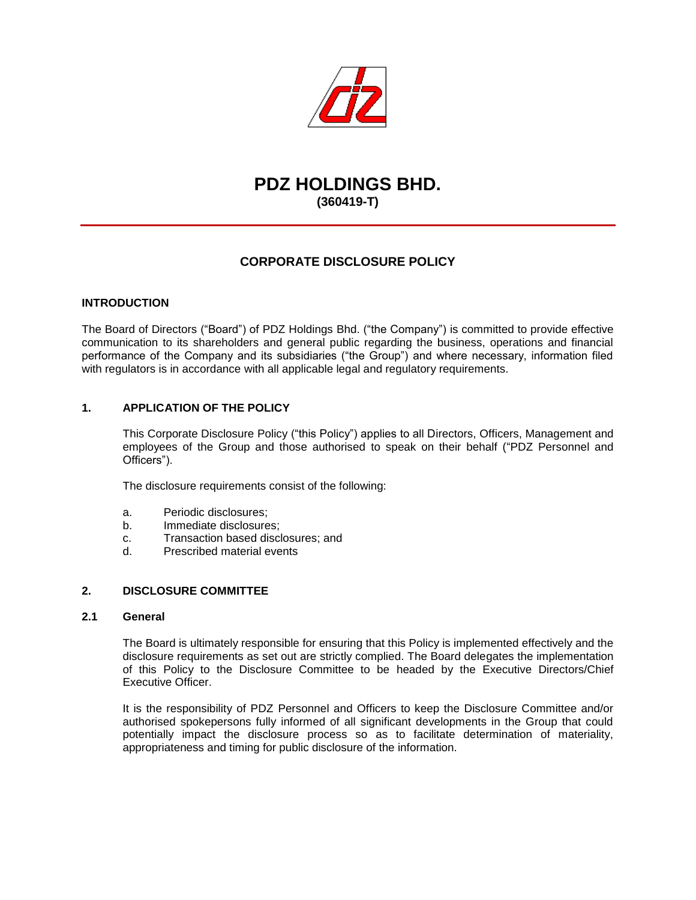

# **PDZ HOLDINGS BHD. (360419-T)**

# **CORPORATE DISCLOSURE POLICY**

# **INTRODUCTION**

The Board of Directors ("Board") of PDZ Holdings Bhd. ("the Company") is committed to provide effective communication to its shareholders and general public regarding the business, operations and financial performance of the Company and its subsidiaries ("the Group") and where necessary, information filed with regulators is in accordance with all applicable legal and regulatory requirements.

# **1. APPLICATION OF THE POLICY**

This Corporate Disclosure Policy ("this Policy") applies to all Directors, Officers, Management and employees of the Group and those authorised to speak on their behalf ("PDZ Personnel and Officers").

The disclosure requirements consist of the following:

- a. Periodic disclosures;
- b. Immediate disclosures;
- c. Transaction based disclosures; and
- d. Prescribed material events

#### **2. DISCLOSURE COMMITTEE**

#### **2.1 General**

The Board is ultimately responsible for ensuring that this Policy is implemented effectively and the disclosure requirements as set out are strictly complied. The Board delegates the implementation of this Policy to the Disclosure Committee to be headed by the Executive Directors/Chief Executive Officer.

It is the responsibility of PDZ Personnel and Officers to keep the Disclosure Committee and/or authorised spokepersons fully informed of all significant developments in the Group that could potentially impact the disclosure process so as to facilitate determination of materiality, appropriateness and timing for public disclosure of the information.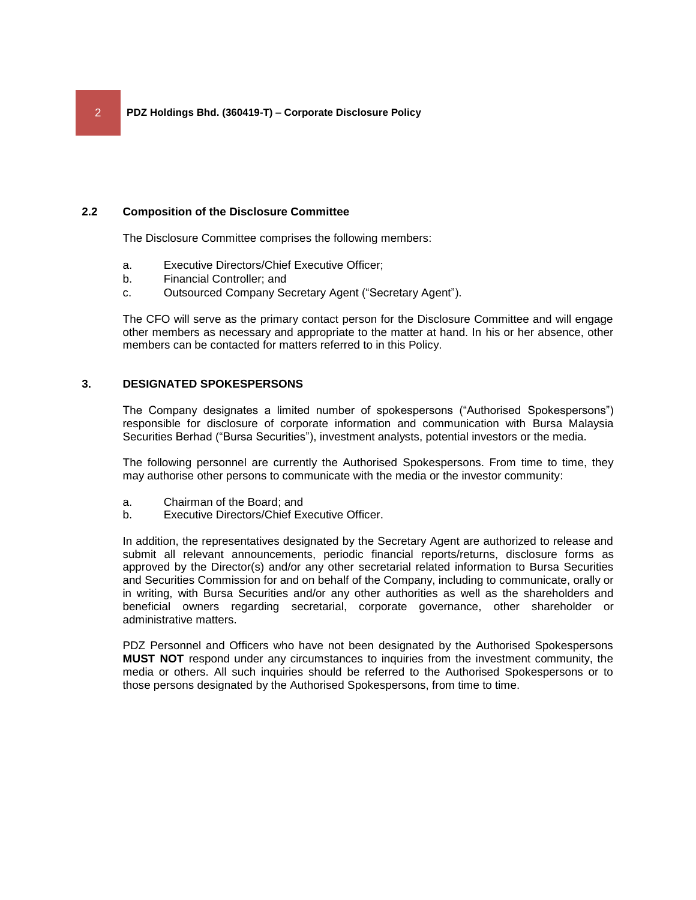#### **2.2 Composition of the Disclosure Committee**

The Disclosure Committee comprises the following members:

- a. Executive Directors/Chief Executive Officer;
- b. Financial Controller; and
- c. Outsourced Company Secretary Agent ("Secretary Agent").

The CFO will serve as the primary contact person for the Disclosure Committee and will engage other members as necessary and appropriate to the matter at hand. In his or her absence, other members can be contacted for matters referred to in this Policy.

#### **3. DESIGNATED SPOKESPERSONS**

The Company designates a limited number of spokespersons ("Authorised Spokespersons") responsible for disclosure of corporate information and communication with Bursa Malaysia Securities Berhad ("Bursa Securities"), investment analysts, potential investors or the media.

The following personnel are currently the Authorised Spokespersons. From time to time, they may authorise other persons to communicate with the media or the investor community:

- a. Chairman of the Board; and
- b. Executive Directors/Chief Executive Officer.

In addition, the representatives designated by the Secretary Agent are authorized to release and submit all relevant announcements, periodic financial reports/returns, disclosure forms as approved by the Director(s) and/or any other secretarial related information to Bursa Securities and Securities Commission for and on behalf of the Company, including to communicate, orally or in writing, with Bursa Securities and/or any other authorities as well as the shareholders and beneficial owners regarding secretarial, corporate governance, other shareholder or administrative matters.

PDZ Personnel and Officers who have not been designated by the Authorised Spokespersons **MUST NOT** respond under any circumstances to inquiries from the investment community, the media or others. All such inquiries should be referred to the Authorised Spokespersons or to those persons designated by the Authorised Spokespersons, from time to time.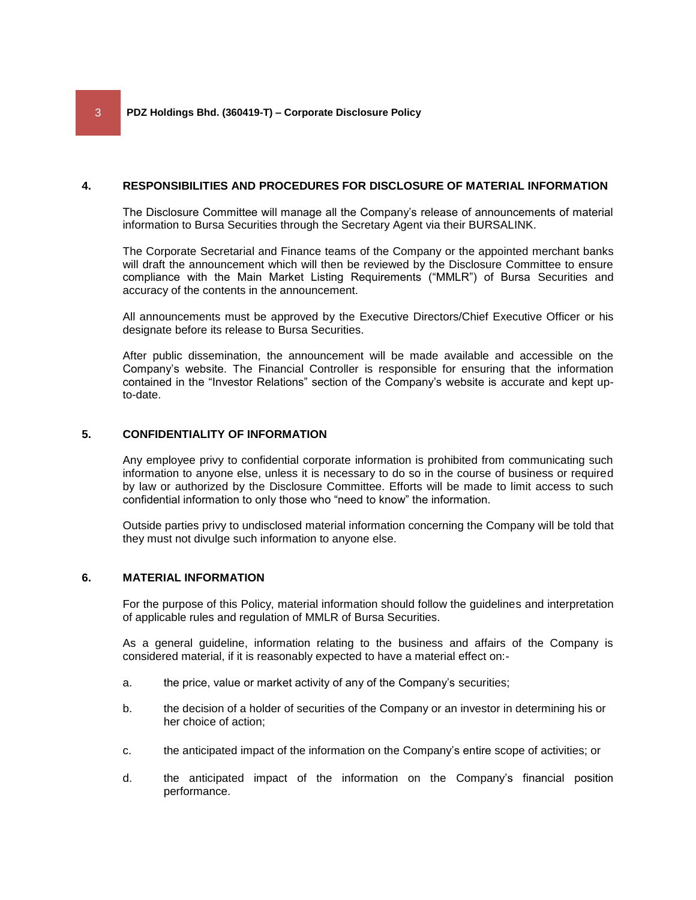#### **4. RESPONSIBILITIES AND PROCEDURES FOR DISCLOSURE OF MATERIAL INFORMATION**

The Disclosure Committee will manage all the Company's release of announcements of material information to Bursa Securities through the Secretary Agent via their BURSALINK.

The Corporate Secretarial and Finance teams of the Company or the appointed merchant banks will draft the announcement which will then be reviewed by the Disclosure Committee to ensure compliance with the Main Market Listing Requirements ("MMLR") of Bursa Securities and accuracy of the contents in the announcement.

All announcements must be approved by the Executive Directors/Chief Executive Officer or his designate before its release to Bursa Securities.

After public dissemination, the announcement will be made available and accessible on the Company's website. The Financial Controller is responsible for ensuring that the information contained in the "Investor Relations" section of the Company's website is accurate and kept upto-date.

# **5. CONFIDENTIALITY OF INFORMATION**

Any employee privy to confidential corporate information is prohibited from communicating such information to anyone else, unless it is necessary to do so in the course of business or required by law or authorized by the Disclosure Committee. Efforts will be made to limit access to such confidential information to only those who "need to know" the information.

Outside parties privy to undisclosed material information concerning the Company will be told that they must not divulge such information to anyone else.

# **6. MATERIAL INFORMATION**

For the purpose of this Policy, material information should follow the guidelines and interpretation of applicable rules and regulation of MMLR of Bursa Securities.

As a general guideline, information relating to the business and affairs of the Company is considered material, if it is reasonably expected to have a material effect on:-

- a. the price, value or market activity of any of the Company's securities;
- b. the decision of a holder of securities of the Company or an investor in determining his or her choice of action;
- c. the anticipated impact of the information on the Company's entire scope of activities; or
- d. the anticipated impact of the information on the Company's financial position performance.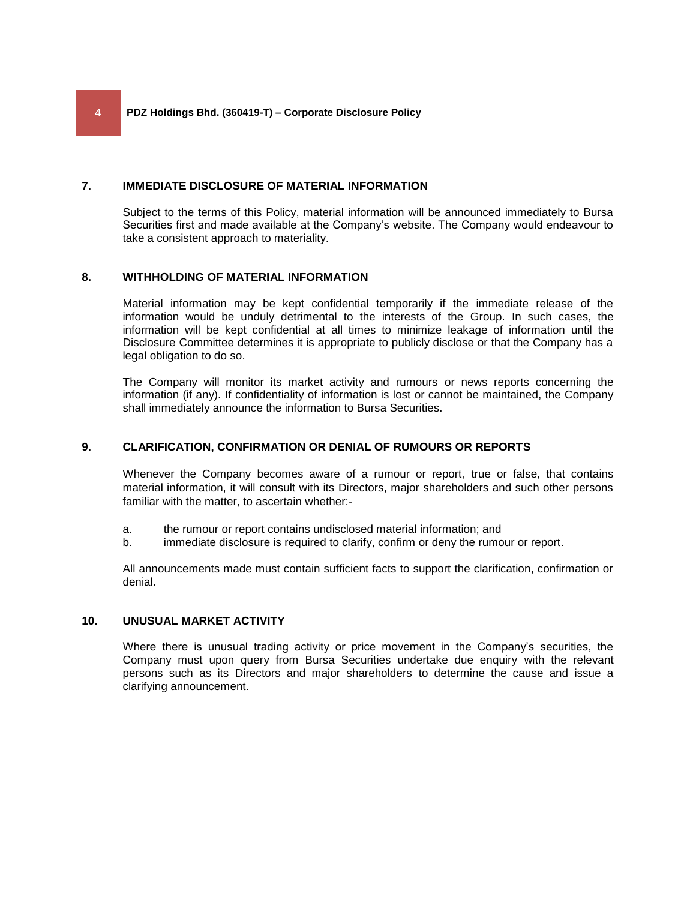#### **7. IMMEDIATE DISCLOSURE OF MATERIAL INFORMATION**

Subject to the terms of this Policy, material information will be announced immediately to Bursa Securities first and made available at the Company's website. The Company would endeavour to take a consistent approach to materiality.

# **8. WITHHOLDING OF MATERIAL INFORMATION**

Material information may be kept confidential temporarily if the immediate release of the information would be unduly detrimental to the interests of the Group. In such cases, the information will be kept confidential at all times to minimize leakage of information until the Disclosure Committee determines it is appropriate to publicly disclose or that the Company has a legal obligation to do so.

The Company will monitor its market activity and rumours or news reports concerning the information (if any). If confidentiality of information is lost or cannot be maintained, the Company shall immediately announce the information to Bursa Securities.

#### **9. CLARIFICATION, CONFIRMATION OR DENIAL OF RUMOURS OR REPORTS**

Whenever the Company becomes aware of a rumour or report, true or false, that contains material information, it will consult with its Directors, major shareholders and such other persons familiar with the matter, to ascertain whether:-

- a. the rumour or report contains undisclosed material information; and
- b. immediate disclosure is required to clarify, confirm or deny the rumour or report.

All announcements made must contain sufficient facts to support the clarification, confirmation or denial.

#### **10. UNUSUAL MARKET ACTIVITY**

Where there is unusual trading activity or price movement in the Company's securities, the Company must upon query from Bursa Securities undertake due enquiry with the relevant persons such as its Directors and major shareholders to determine the cause and issue a clarifying announcement.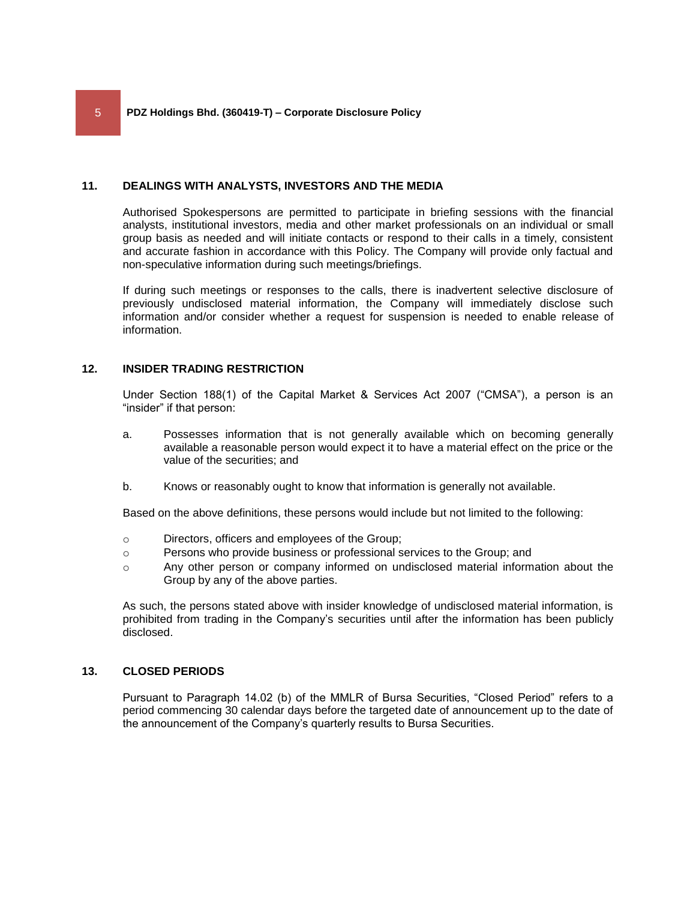#### **11. DEALINGS WITH ANALYSTS, INVESTORS AND THE MEDIA**

Authorised Spokespersons are permitted to participate in briefing sessions with the financial analysts, institutional investors, media and other market professionals on an individual or small group basis as needed and will initiate contacts or respond to their calls in a timely, consistent and accurate fashion in accordance with this Policy. The Company will provide only factual and non-speculative information during such meetings/briefings.

If during such meetings or responses to the calls, there is inadvertent selective disclosure of previously undisclosed material information, the Company will immediately disclose such information and/or consider whether a request for suspension is needed to enable release of information.

# **12. INSIDER TRADING RESTRICTION**

Under Section 188(1) of the Capital Market & Services Act 2007 ("CMSA"), a person is an "insider" if that person:

- a. Possesses information that is not generally available which on becoming generally available a reasonable person would expect it to have a material effect on the price or the value of the securities; and
- b. Knows or reasonably ought to know that information is generally not available.

Based on the above definitions, these persons would include but not limited to the following:

- o Directors, officers and employees of the Group;
- o Persons who provide business or professional services to the Group; and
- o Any other person or company informed on undisclosed material information about the Group by any of the above parties.

As such, the persons stated above with insider knowledge of undisclosed material information, is prohibited from trading in the Company's securities until after the information has been publicly disclosed.

#### **13. CLOSED PERIODS**

Pursuant to Paragraph 14.02 (b) of the MMLR of Bursa Securities, "Closed Period" refers to a period commencing 30 calendar days before the targeted date of announcement up to the date of the announcement of the Company's quarterly results to Bursa Securities.